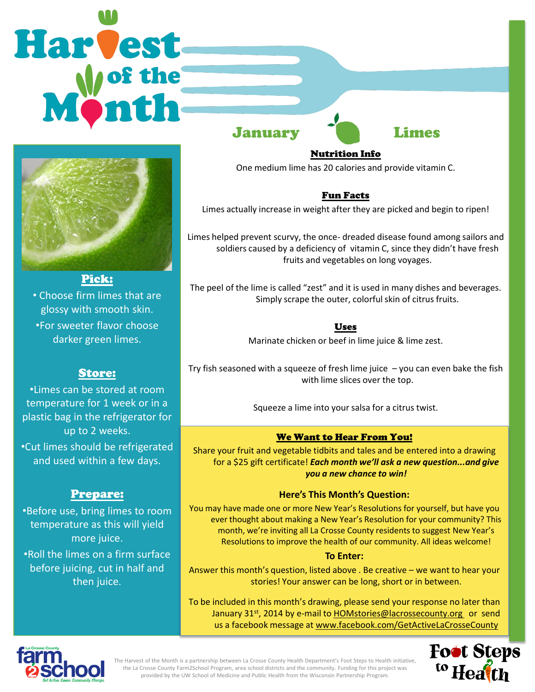# Harvest



• Choose firm limes that are glossy with smooth skin. •For sweeter flavor choose darker green limes.

# Store:

•Limes can be stored at room temperature for 1 week or in a plastic bag in the refrigerator for up to 2 weeks. •Cut limes should be refrigerated and used within a few days.

# Prepare:

•Before use, bring limes to room temperature as this will yield more juice. •Roll the limes on a firm surface

before juicing, cut in half and then juice.

January Limes

#### Nutrition Info

One medium lime has 20 calories and provide vitamin C.

### Fun Facts

Limes actually increase in weight after they are picked and begin to ripen!

Limes helped prevent scurvy, the once- dreaded disease found among sailors and soldiers caused by a deficiency of vitamin C, since they didn't have fresh fruits and vegetables on long voyages.

The peel of the lime is called "zest" and it is used in many dishes and beverages. Simply scrape the outer, colorful skin of citrus fruits.

## Uses

Marinate chicken or beef in lime juice & lime zest.

Try fish seasoned with a squeeze of fresh lime juice  $-$  you can even bake the fish with lime slices over the top.

Squeeze a lime into your salsa for a citrus twist.

# We Want to Hear From You!

Share your fruit and vegetable tidbits and tales and be entered into a drawing for a \$25 gift certificate! *Each month we'll ask a new question...and give you a new chance to win!* 

#### **Here's This Month's Question:**

You may have made one or more New Year's Resolutions for yourself, but have you ever thought about making a New Year's Resolution for your community? This month, we're inviting all La Crosse County residents to suggest New Year's Resolutions to improve the health of our community. All ideas welcome!

#### **To Enter:**

Answer this month's question, listed above . Be creative – we want to hear your stories! Your answer can be long, short or in between.

To be included in this month's drawing, please send your response no later than January 31<sup>st</sup>, 2014 by e-mail to **HOMstories@lacrossecounty.org** or send us a facebook message at www.facebook.com/GetActiveLaCrosseCounty



The Harvest of the Month is a partnership between La Crosse County Health Department's Foot Steps to Health initiative, the La Crosse County Farm2School Program, area school districts and the community. Funding for this project was provided by the UW School of Medicine and Public Health from the Wisconsin Partnership Program.